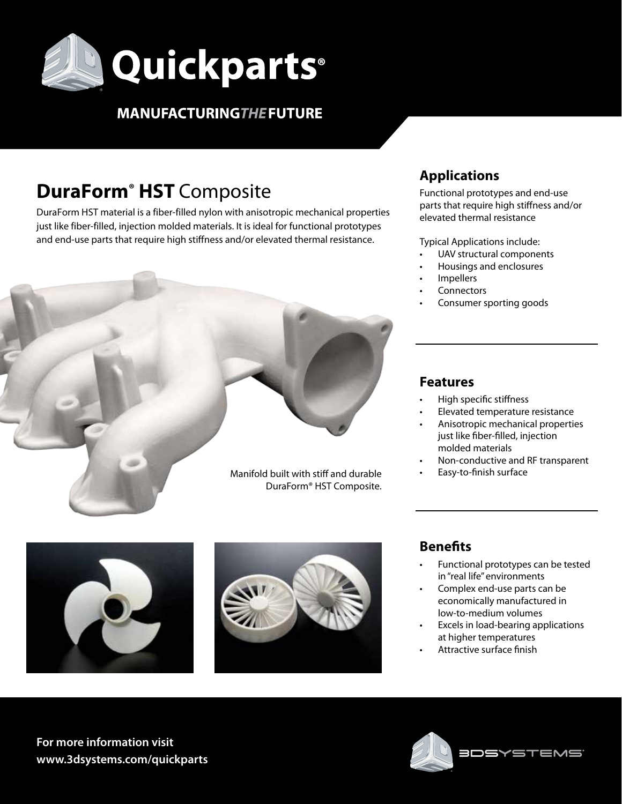

# **MANUFACTURING THE FUTURE**

# **DuraForm® HST** Composite

DuraForm HST material is a fiber-filled nylon with anisotropic mechanical properties just like fiber-filled, injection molded materials. It is ideal for functional prototypes and end-use parts that require high stiffness and/or elevated thermal resistance.



## **Applications**

Functional prototypes and end-use parts that require high stiffness and/or elevated thermal resistance

Typical Applications include:

- UAV structural components
- Housings and enclosures
- **Impellers**
- **Connectors**
- Consumer sporting goods

## **Features**

- High specific stiffness
- Elevated temperature resistance
- Anisotropic mechanical properties just like fiber-filled, injection molded materials
- Non-conductive and RF transparent
- Easy-to-finish surface





## **Benefits**

- Functional prototypes can be tested in "real life" environments
- Complex end-use parts can be economically manufactured in low-to-medium volumes
- Excels in load-bearing applications at higher temperatures
- Attractive surface finish

**For more information visit www.3dsystems.com/quickparts**